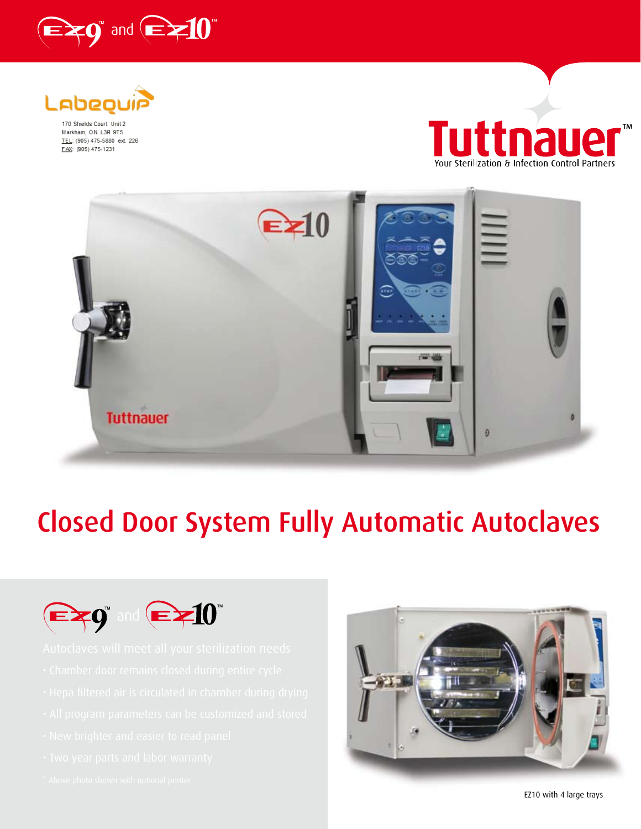



170 Shields Court Unit 2 Markham, ON L3R 9T5 TEL: (905) 475-5880 ext. 226 FAX: (905) 475-1231





# **Closed Door System Fully Automatic Autoclaves**



- 
- 
- 
- 
- 
-